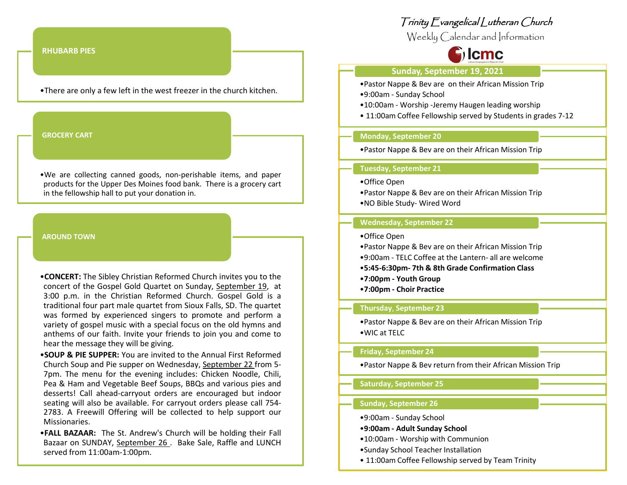#### **RHUBARB PIES**

•There are only a few left in the west freezer in the church kitchen.

#### **GROCERY CART**

•We are collecting canned goods, non-perishable items, and paper products for the Upper Des Moines food bank. There is a grocery cart in the fellowship hall to put your donation in.

#### **AROUND TOWN**

•**CONCERT:** The Sibley Christian Reformed Church invites you to the concert of the Gospel Gold Quartet on Sunday, September 19, at 3:00 p.m. in the Christian Reformed Church. Gospel Gold is a traditional four part male quartet from Sioux Falls, SD. The quartet was formed by experienced singers to promote and perform a variety of gospel music with a special focus on the old hymns and anthems of our faith. Invite your friends to join you and come to hear the message they will be giving.

•**SOUP & PIE SUPPER:** You are invited to the Annual First Reformed Church Soup and Pie supper on Wednesday, September 22 from 5- 7pm. The menu for the evening includes: Chicken Noodle, Chili, Pea & Ham and Vegetable Beef Soups, BBQs and various pies and desserts! Call ahead-carryout orders are encouraged but indoor seating will also be available. For carryout orders please call 754- 2783. A Freewill Offering will be collected to help support our Missionaries.

•**FALL BAZAAR:** The St. Andrew's Church will be holding their Fall Bazaar on SUNDAY, September 26 . Bake Sale, Raffle and LUNCH served from 11:00am-1:00pm.

# Trinity Evangelical Lutheran Church

Weekly Calendar and Information

# $\mathbf{c}_1$  lcmc

## **Sunday, September 19, 2021**

- •Pastor Nappe & Bev are on their African Mission Trip •9:00am - Sunday School
- •10:00am Worship -Jeremy Haugen leading worship
- 11:00am Coffee Fellowship served by Students in grades 7-12

# **Monday, September 20**

•Pastor Nappe & Bev are on their African Mission Trip

#### **Tuesday, September 21**

- •Office Open
- •Pastor Nappe & Bev are on their African Mission Trip
- •NO Bible Study- Wired Word

#### **Wednesday, September 22**

- •Office Open
- •Pastor Nappe & Bev are on their African Mission Trip
- •9:00am TELC Coffee at the Lantern- all are welcome
- •**5:45-6:30pm- 7th & 8th Grade Confirmation Class**
- •**7:00pm - Youth Group**
- •**7:00pm - Choir Practice**

#### **Thursday**, **September 23**

•Pastor Nappe & Bev are on their African Mission Trip •WIC at TELC

#### **Friday, September 24**

•Pastor Nappe & Bev return from their African Mission Trip

# **Saturday, September 25**

## **Sunday, September 26**

- •9:00am Sunday School
- •**9:00am - Adult Sunday School**
- •10:00am Worship with Communion
- •Sunday School Teacher Installation
- 11:00am Coffee Fellowship served by Team Trinity